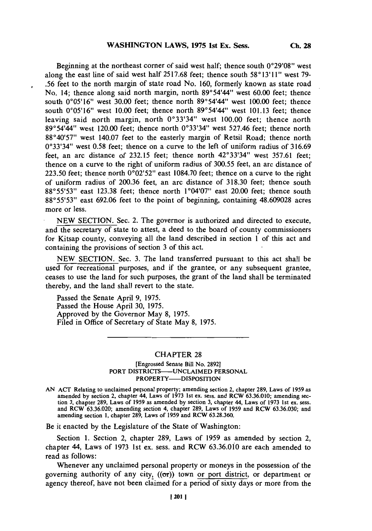Beginning at the northeast corner of said west half; thence south 0°29'08" west along the east line of said west half **2517.68** feet; thence south *580 1311* **"** west **79- .56** feet to the north margin of state road No. **160,** formerly known as state road No. 14; thence along said north margin, north *89\*54'44"* west **60.00** feet; thence south **0005'161** west **30.00** feet; thence north 89054441 west **100.00** feet; thence south **0005'16** west **10.00** feet; thence north **8905444"9** west **101.13** feet; thence leaving said north margin, north 0°33'34" west 100.00 feet; thence north **89054449** west 120.00 feet; thence north **Q0339349** west **527.46** feet; thence north **88040579** west 140.07 feet to the easterly margin of Retsil Road; thence north 00339349 west **0.58** feet; thence on a curve to the left of uniform radius of **316.69** feet, an arc distance of 232.15 feet; thence north 42°33'34" west 357.61 feet; thence on a curve to the right of uniform radius of **300.55** feet, an arc distance of **223.50** feet; thence north **0002529** east **1084.70** feet; thence on a curve to the right of uniform radius of **200.36** feet, an arc distance of **318.30** feet; thence south 88°55'53" east 123.38 feet; thence north 1°04'07" east 20.00 feet; thence south **88055'539** east **692.06** feet to the point of beginning, containing **48.609028** acres more or less.

**NEW SECTION.** Sec. 2. The governor is authorized and directed to execute, and the secretary of state to attest, a deed to the board of county commissioners for Kitsap county, conveying all the land described in section **I** of this act and containing the provisions of section **3** of this act.

**NEW SECTION.** Sec. **3.** The land transferred pursuant to this act shall be used for recreational purposes, and if the grantee, or any subsequent grantee, ceases to use the land for such purposes, the grant of the land shall be terminated thereby, and the land shall revert to the state.

Passed the Senate April **9, 1975.** Passed the House April **30, 1975.** Approved **by** the Governor May **8, 1975.** Filed in Office of Secretary of State May **8, 1975.**

## **CHAPTER 28**

## [Engrossed Senate Bill No. **28921** PORT DISTRICTS-UNCLAIMED **PERSONAL** PROPERTY-DISPOSITION

**AN ACT** Relating to unclaimed personal property; amending section 2, chapter **289,** Laws of **1959** as amended **by** section 2, chapter 44, Laws of **1973** 1st ex. sess. and RCW **63.36.010;** amending sec**tion 3,** chapter **289,** Laws of **1959** as amended **by** section **3,** chapter 44, Laws of **1973** 1 st ex. sess. and RCW **63.36.020;** amending section 4, chapter **289,** Laws of **1959** and RCW **63.36.030;** and amending section **1,** chapter **289,** Laws of **1959** and RCW **63.28.360.**

Be it enacted **by** the Legislature of the State of Washington:

Section **1.** Section 2, chapter **289,** Laws of **1959** as amended **by** section 2, chapter *44,* Laws of **1973** 1st ex. sess. and RCW 63.36.010 are each amended to read as follows:

Whenever any unclaimed personal property or moneys in the possession of the governing authority of any city,  $((\sigma r))$  town or port district, or department or agency thereof, have not been claimed for a period of sixty days or more from the